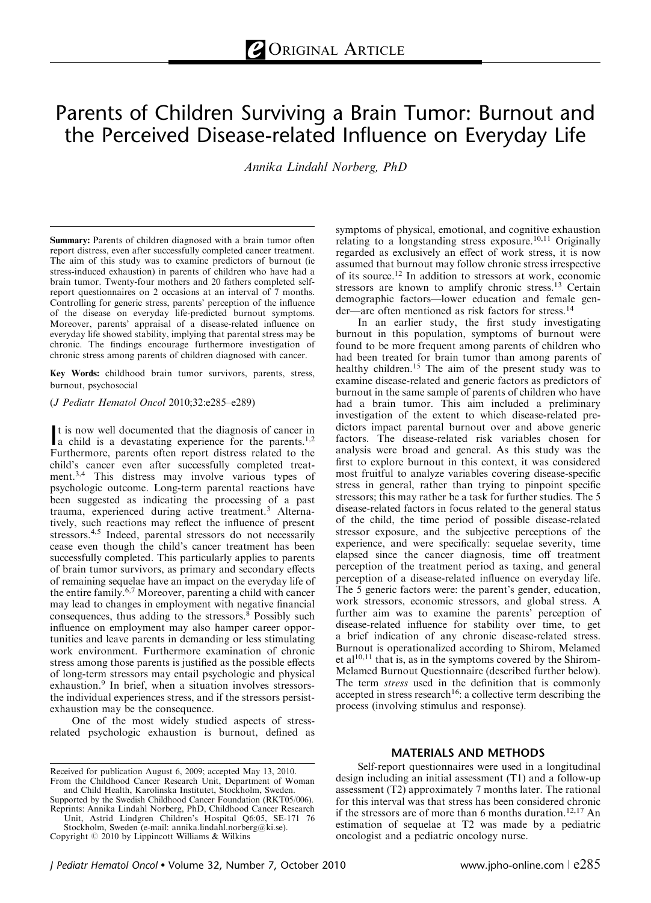# Parents of Children Surviving a Brain Tumor: Burnout and the Perceived Disease-related Influence on Everyday Life

Annika Lindahl Norberg, PhD

Summary: Parents of children diagnosed with a brain tumor often report distress, even after successfully completed cancer treatment. The aim of this study was to examine predictors of burnout (ie stress-induced exhaustion) in parents of children who have had a brain tumor. Twenty-four mothers and 20 fathers completed selfreport questionnaires on 2 occasions at an interval of 7 months. Controlling for generic stress, parents' perception of the influence of the disease on everyday life-predicted burnout symptoms. Moreover, parents' appraisal of a disease-related influence on everyday life showed stability, implying that parental stress may be chronic. The findings encourage furthermore investigation of chronic stress among parents of children diagnosed with cancer.

Key Words: childhood brain tumor survivors, parents, stress, burnout, psychosocial

(J Pediatr Hematol Oncol 2010;32:e285–e289)

It is now well documented that the diagnosis of cancer in<br>a child is a devastating experience for the parents.<sup>1,2</sup> a child is a devastating experience for the parents.<sup>1,2</sup> Furthermore, parents often report distress related to the child's cancer even after successfully completed treatment.3,4 This distress may involve various types of psychologic outcome. Long-term parental reactions have been suggested as indicating the processing of a past trauma, experienced during active treatment.<sup>3</sup> Alternatively, such reactions may reflect the influence of present stressors.<sup>4,5</sup> Indeed, parental stressors do not necessarily cease even though the child's cancer treatment has been successfully completed. This particularly applies to parents of brain tumor survivors, as primary and secondary effects of remaining sequelae have an impact on the everyday life of the entire family.6,7 Moreover, parenting a child with cancer may lead to changes in employment with negative financial consequences, thus adding to the stressors.<sup>8</sup> Possibly such influence on employment may also hamper career opportunities and leave parents in demanding or less stimulating work environment. Furthermore examination of chronic stress among those parents is justified as the possible effects of long-term stressors may entail psychologic and physical exhaustion.<sup>9</sup> In brief, when a situation involves stressorsthe individual experiences stress, and if the stressors persistexhaustion may be the consequence.

One of the most widely studied aspects of stressrelated psychologic exhaustion is burnout, defined as

Supported by the Swedish Childhood Cancer Foundation (RKT05/006). Reprints: Annika Lindahl Norberg, PhD, Childhood Cancer Research

Unit, Astrid Lindgren Children's Hospital Q6:05, SE-171 76 Stockholm, Sweden (e-mail: annika.lindahl.norberg@ki.se).

symptoms of physical, emotional, and cognitive exhaustion relating to a longstanding stress exposure.<sup>10,11</sup> Originally regarded as exclusively an effect of work stress, it is now assumed that burnout may follow chronic stress irrespective of its source.12 In addition to stressors at work, economic stressors are known to amplify chronic stress.<sup>13</sup> Certain demographic factors—lower education and female gender—are often mentioned as risk factors for stress.<sup>14</sup>

In an earlier study, the first study investigating burnout in this population, symptoms of burnout were found to be more frequent among parents of children who had been treated for brain tumor than among parents of healthy children.<sup>15</sup> The aim of the present study was to examine disease-related and generic factors as predictors of burnout in the same sample of parents of children who have had a brain tumor. This aim included a preliminary investigation of the extent to which disease-related predictors impact parental burnout over and above generic factors. The disease-related risk variables chosen for analysis were broad and general. As this study was the first to explore burnout in this context, it was considered most fruitful to analyze variables covering disease-specific stress in general, rather than trying to pinpoint specific stressors; this may rather be a task for further studies. The 5 disease-related factors in focus related to the general status of the child, the time period of possible disease-related stressor exposure, and the subjective perceptions of the experience, and were specifically: sequelae severity, time elapsed since the cancer diagnosis, time off treatment perception of the treatment period as taxing, and general perception of a disease-related influence on everyday life. The 5 generic factors were: the parent's gender, education, work stressors, economic stressors, and global stress. A further aim was to examine the parents' perception of disease-related influence for stability over time, to get a brief indication of any chronic disease-related stress. Burnout is operationalized according to Shirom, Melamed et al<sup>10,11</sup> that is, as in the symptoms covered by the Shirom-Melamed Burnout Questionnaire (described further below). The term *stress* used in the definition that is commonly accepted in stress research<sup>16</sup>: a collective term describing the process (involving stimulus and response).

# MATERIALS AND METHODS

Self-report questionnaires were used in a longitudinal design including an initial assessment (T1) and a follow-up assessment (T2) approximately 7 months later. The rational for this interval was that stress has been considered chronic if the stressors are of more than 6 months duration.<sup>12,17</sup> An estimation of sequelae at T2 was made by a pediatric Copyright  $\odot$  2010 by Lippincott Williams & Wilkins oncologist and a pediatric oncology nurse.

Received for publication August 6, 2009; accepted May 13, 2010. From the Childhood Cancer Research Unit, Department of Woman and Child Health, Karolinska Institutet, Stockholm, Sweden.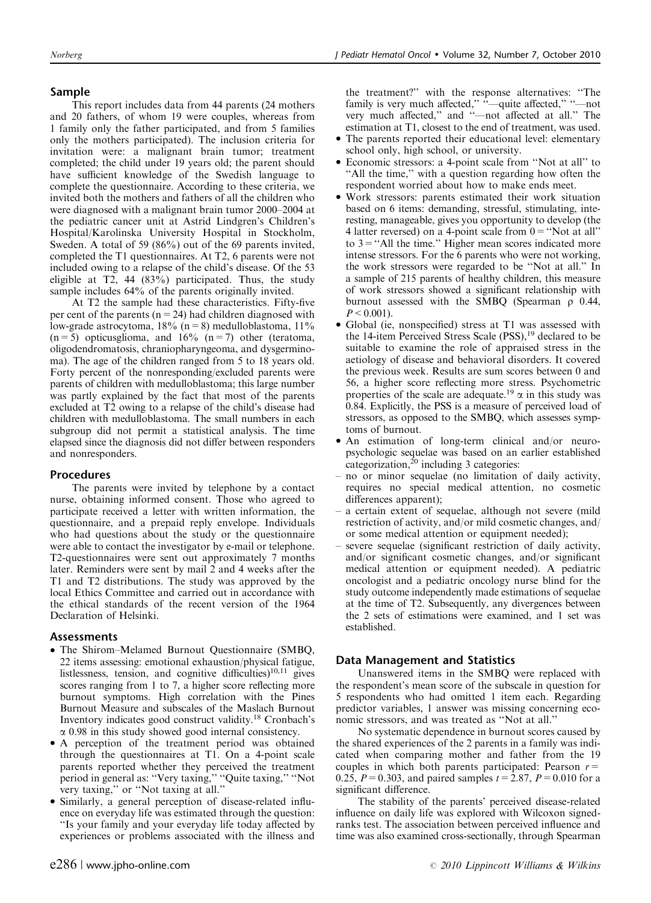# Sample

This report includes data from 44 parents (24 mothers and 20 fathers, of whom 19 were couples, whereas from 1 family only the father participated, and from 5 families only the mothers participated). The inclusion criteria for invitation were: a malignant brain tumor; treatment completed; the child under 19 years old; the parent should have sufficient knowledge of the Swedish language to complete the questionnaire. According to these criteria, we invited both the mothers and fathers of all the children who were diagnosed with a malignant brain tumor 2000–2004 at the pediatric cancer unit at Astrid Lindgren's Children's Hospital/Karolinska University Hospital in Stockholm, Sweden. A total of 59 (86%) out of the 69 parents invited, completed the T1 questionnaires. At T2, 6 parents were not included owing to a relapse of the child's disease. Of the 53 eligible at T2, 44 (83%) participated. Thus, the study sample includes 64% of the parents originally invited.

At T2 the sample had these characteristics. Fifty-five per cent of the parents ( $n=24$ ) had children diagnosed with low-grade astrocytoma,  $18\%$  (n = 8) medulloblastoma,  $11\%$  $(n=5)$  opticusglioma, and 16%  $(n=7)$  other (teratoma, oligodendromatosis, chraniopharyngeoma, and dysgerminoma). The age of the children ranged from 5 to 18 years old. Forty percent of the nonresponding/excluded parents were parents of children with medulloblastoma; this large number was partly explained by the fact that most of the parents excluded at T2 owing to a relapse of the child's disease had children with medulloblastoma. The small numbers in each subgroup did not permit a statistical analysis. The time elapsed since the diagnosis did not differ between responders and nonresponders.

## Procedures

The parents were invited by telephone by a contact nurse, obtaining informed consent. Those who agreed to participate received a letter with written information, the questionnaire, and a prepaid reply envelope. Individuals who had questions about the study or the questionnaire were able to contact the investigator by e-mail or telephone. T2-questionnaires were sent out approximately 7 months later. Reminders were sent by mail 2 and 4 weeks after the T1 and T2 distributions. The study was approved by the local Ethics Committee and carried out in accordance with the ethical standards of the recent version of the 1964 Declaration of Helsinki.

## Assessments

- $\bullet$  The Shirom-Melamed Burnout Questionnaire (SMBQ, 22 items assessing: emotional exhaustion/physical fatigue, listlessness, tension, and cognitive difficulties)<sup>10,11</sup> gives scores ranging from 1 to 7, a higher score reflecting more burnout symptoms. High correlation with the Pines Burnout Measure and subscales of the Maslach Burnout Inventory indicates good construct validity.18 Cronbach's  $\alpha$  0.98 in this study showed good internal consistency.
- A perception of the treatment period was obtained through the questionnaires at T1. On a 4-point scale parents reported whether they perceived the treatment period in general as: ''Very taxing,'' ''Quite taxing,'' ''Not very taxing,'' or ''Not taxing at all.''
- Similarly, a general perception of disease-related influence on everyday life was estimated through the question: ''Is your family and your everyday life today affected by experiences or problems associated with the illness and

the treatment?'' with the response alternatives: ''The family is very much affected," "-quite affected," "-not very much affected,'' and ''—not affected at all.'' The estimation at T1, closest to the end of treatment, was used.

- The parents reported their educational level: elementary school only, high school, or university.
- Economic stressors: a 4-point scale from ''Not at all'' to ''All the time,'' with a question regarding how often the respondent worried about how to make ends meet.
- Work stressors: parents estimated their work situation based on 6 items: demanding, stressful, stimulating, interesting, manageable, gives you opportunity to develop (the 4 latter reversed) on a 4-point scale from  $0 = "Not at all"$ to  $3$  = "All the time." Higher mean scores indicated more intense stressors. For the 6 parents who were not working, the work stressors were regarded to be ''Not at all.'' In a sample of 215 parents of healthy children, this measure of work stressors showed a significant relationship with burnout assessed with the SMBQ (Spearman  $\rho$  0.44,  $P < 0.001$ ).
- Global (ie, nonspecified) stress at T1 was assessed with the 14-item Perceived Stress Scale (PSS),<sup>19</sup> declared to be suitable to examine the role of appraised stress in the aetiology of disease and behavioral disorders. It covered the previous week. Results are sum scores between 0 and 56, a higher score reflecting more stress. Psychometric properties of the scale are adequate.<sup>19</sup>  $\alpha$  in this study was 0.84. Explicitly, the PSS is a measure of perceived load of stressors, as opposed to the SMBQ, which assesses symptoms of burnout.
- An estimation of long-term clinical and/or neuropsychologic sequelae was based on an earlier established categorization, $^{20}$  including 3 categories:
- no or minor sequelae (no limitation of daily activity, requires no special medical attention, no cosmetic differences apparent);
- a certain extent of sequelae, although not severe (mild restriction of activity, and/or mild cosmetic changes, and/ or some medical attention or equipment needed);
- severe sequelae (significant restriction of daily activity, and/or significant cosmetic changes, and/or significant medical attention or equipment needed). A pediatric oncologist and a pediatric oncology nurse blind for the study outcome independently made estimations of sequelae at the time of T2. Subsequently, any divergences between the 2 sets of estimations were examined, and 1 set was established.

## Data Management and Statistics

Unanswered items in the SMBQ were replaced with the respondent's mean score of the subscale in question for 5 respondents who had omitted 1 item each. Regarding predictor variables, 1 answer was missing concerning economic stressors, and was treated as ''Not at all.''

No systematic dependence in burnout scores caused by the shared experiences of the 2 parents in a family was indicated when comparing mother and father from the 19 couples in which both parents participated: Pearson  $r=$ 0.25,  $P = 0.303$ , and paired samples  $t = 2.87$ ,  $P = 0.010$  for a significant difference.

The stability of the parents' perceived disease-related influence on daily life was explored with Wilcoxon signedranks test. The association between perceived influence and time was also examined cross-sectionally, through Spearman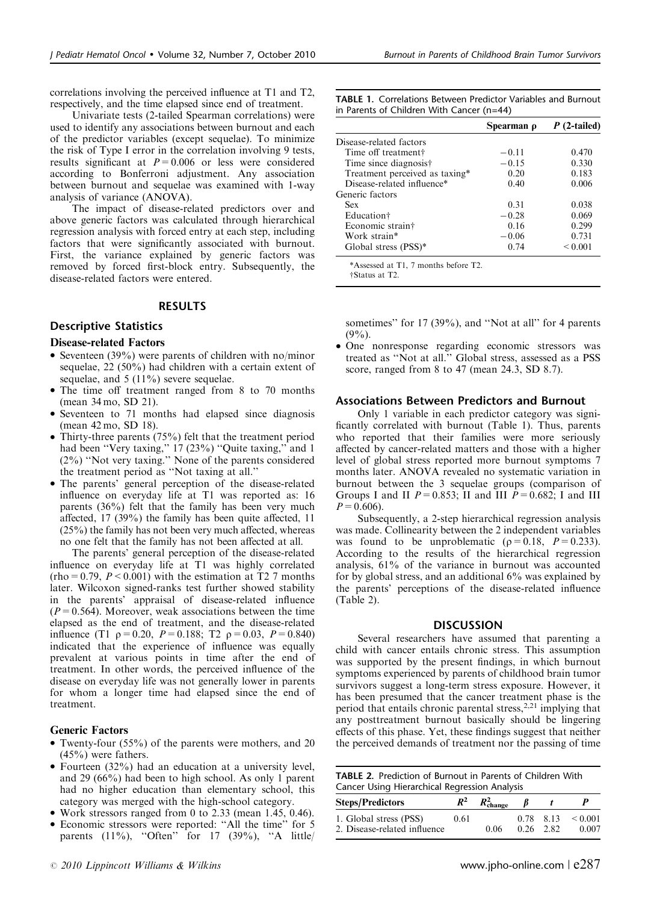correlations involving the perceived influence at T1 and T2, respectively, and the time elapsed since end of treatment.

Univariate tests (2-tailed Spearman correlations) were used to identify any associations between burnout and each of the predictor variables (except sequelae). To minimize the risk of Type I error in the correlation involving 9 tests, results significant at  $P=0.006$  or less were considered according to Bonferroni adjustment. Any association between burnout and sequelae was examined with 1-way analysis of variance (ANOVA).

The impact of disease-related predictors over and above generic factors was calculated through hierarchical regression analysis with forced entry at each step, including factors that were significantly associated with burnout. First, the variance explained by generic factors was removed by forced first-block entry. Subsequently, the disease-related factors were entered.

#### RESULTS

## Descriptive Statistics

#### Disease-related Factors

- Seventeen (39%) were parents of children with no/minor sequelae, 22 (50%) had children with a certain extent of sequelae, and 5 (11%) severe sequelae.
- The time off treatment ranged from 8 to 70 months (mean 34 mo, SD 21).
- Seventeen to 71 months had elapsed since diagnosis (mean 42 mo, SD 18).
- Thirty-three parents (75%) felt that the treatment period had been "Very taxing," 17 (23%) "Quite taxing," and 1 (2%) ''Not very taxing.'' None of the parents considered the treatment period as ''Not taxing at all.''
- The parents' general perception of the disease-related influence on everyday life at T1 was reported as: 16 parents (36%) felt that the family has been very much affected, 17 (39%) the family has been quite affected, 11 (25%) the family has not been very much affected, whereas no one felt that the family has not been affected at all.

The parents' general perception of the disease-related influence on everyday life at T1 was highly correlated  $(rho=0.79, P<0.001)$  with the estimation at T2 7 months later. Wilcoxon signed-ranks test further showed stability in the parents' appraisal of disease-related influence  $(P=0.564)$ . Moreover, weak associations between the time elapsed as the end of treatment, and the disease-related influence (T1  $p=0.20$ ,  $P=0.188$ ; T2  $p=0.03$ ,  $P=0.840$ ) indicated that the experience of influence was equally prevalent at various points in time after the end of treatment. In other words, the perceived influence of the disease on everyday life was not generally lower in parents for whom a longer time had elapsed since the end of treatment.

#### Generic Factors

- Twenty-four (55%) of the parents were mothers, and 20 (45%) were fathers.
- Fourteen (32%) had an education at a university level, and 29 (66%) had been to high school. As only 1 parent had no higher education than elementary school, this category was merged with the high-school category.
- Work stressors ranged from 0 to 2.33 (mean 1.45, 0.46).
- Economic stressors were reported: ''All the time'' for 5 parents  $(11\%)$ , "Often" for 17  $(39\%)$ , "A little

TABLE 1. Correlations Between Predictor Variables and Burnout in Parents of Children With Cancer (n=44)

|                                | Spearman o | P (2-tailed)      |  |
|--------------------------------|------------|-------------------|--|
| Disease-related factors        |            |                   |  |
| Time off treatment†            | $-0.11$    | 0.470             |  |
| Time since diagnosis†          | $-0.15$    | 0.330             |  |
| Treatment perceived as taxing* | 0.20       | 0.183             |  |
| Disease-related influence*     | 0.40       | 0.006             |  |
| Generic factors                |            |                   |  |
| <b>Sex</b>                     | 0.31       | 0.038             |  |
| Education†                     | $-0.28$    | 0.069             |  |
| Economic strain†               | 0.16       | 0.299             |  |
| Work strain*                   | $-0.06$    | 0.731             |  |
| Global stress (PSS)*           | 0.74       | ${}_{\leq 0.001}$ |  |

\*Assessed at T1, 7 months before T2. wStatus at T2.

sometimes" for 17 (39%), and "Not at all" for 4 parents  $(9\%)$ .

- One nonresponse regarding economic stressors was treated as ''Not at all.'' Global stress, assessed as a PSS score, ranged from 8 to 47 (mean 24.3, SD 8.7).

#### Associations Between Predictors and Burnout

Only 1 variable in each predictor category was significantly correlated with burnout (Table 1). Thus, parents who reported that their families were more seriously affected by cancer-related matters and those with a higher level of global stress reported more burnout symptoms 7 months later. ANOVA revealed no systematic variation in burnout between the 3 sequelae groups (comparison of Groups I and II  $P = 0.853$ ; II and III  $P = 0.682$ ; I and III  $P=0.606$ ).

Subsequently, a 2-step hierarchical regression analysis was made. Collinearity between the 2 independent variables was found to be unproblematic ( $\rho = 0.18$ ,  $P = 0.233$ ). According to the results of the hierarchical regression analysis, 61% of the variance in burnout was accounted for by global stress, and an additional 6% was explained by the parents' perceptions of the disease-related influence (Table 2).

#### **DISCUSSION**

Several researchers have assumed that parenting a child with cancer entails chronic stress. This assumption was supported by the present findings, in which burnout symptoms experienced by parents of childhood brain tumor survivors suggest a long-term stress exposure. However, it has been presumed that the cancer treatment phase is the period that entails chronic parental stress,<sup>2,21</sup> implying that any posttreatment burnout basically should be lingering effects of this phase. Yet, these findings suggest that neither the perceived demands of treatment nor the passing of time

TABLE 2. Prediction of Burnout in Parents of Children With Cancer Using Hierarchical Regression Analysis

| <b>Steps/Predictors</b>                                | $R^2$ | $R_{\text{change}}^2$ |                          |                       |
|--------------------------------------------------------|-------|-----------------------|--------------------------|-----------------------|
| 1. Global stress (PSS)<br>2. Disease-related influence | 0.61  | 0.06                  | 0.78 8.13<br>$0.26$ 2.82 | ${}_{0.001}$<br>0.007 |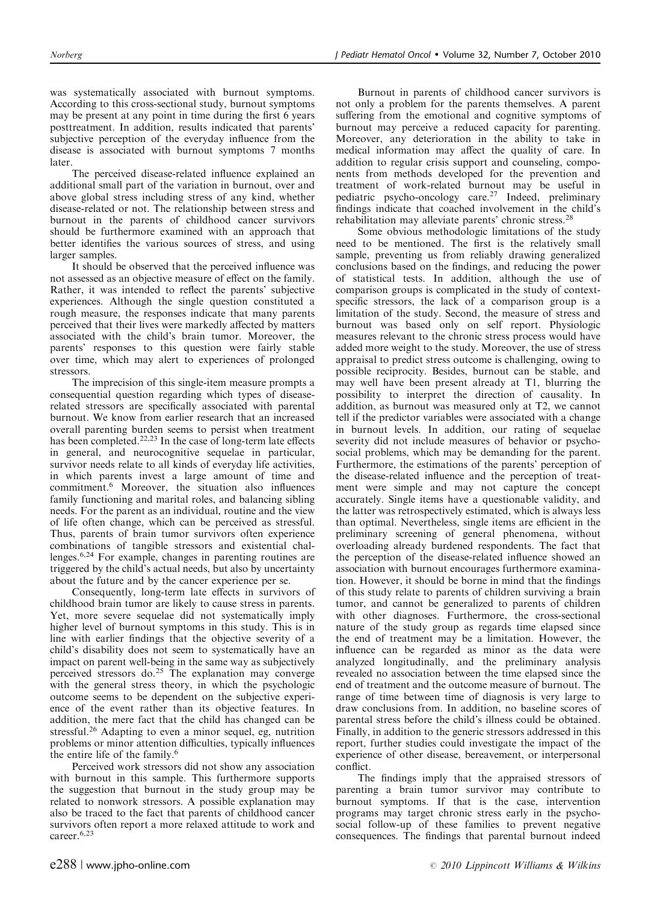was systematically associated with burnout symptoms. According to this cross-sectional study, burnout symptoms may be present at any point in time during the first 6 years posttreatment. In addition, results indicated that parents' subjective perception of the everyday influence from the disease is associated with burnout symptoms 7 months later.

The perceived disease-related influence explained an additional small part of the variation in burnout, over and above global stress including stress of any kind, whether disease-related or not. The relationship between stress and burnout in the parents of childhood cancer survivors should be furthermore examined with an approach that better identifies the various sources of stress, and using larger samples.

It should be observed that the perceived influence was not assessed as an objective measure of effect on the family. Rather, it was intended to reflect the parents' subjective experiences. Although the single question constituted a rough measure, the responses indicate that many parents perceived that their lives were markedly affected by matters associated with the child's brain tumor. Moreover, the parents' responses to this question were fairly stable over time, which may alert to experiences of prolonged stressors.

The imprecision of this single-item measure prompts a consequential question regarding which types of diseaserelated stressors are specifically associated with parental burnout. We know from earlier research that an increased overall parenting burden seems to persist when treatment has been completed.<sup>22,23</sup> In the case of long-term late effects in general, and neurocognitive sequelae in particular, survivor needs relate to all kinds of everyday life activities, in which parents invest a large amount of time and commitment.<sup>6</sup> Moreover, the situation also influences family functioning and marital roles, and balancing sibling needs. For the parent as an individual, routine and the view of life often change, which can be perceived as stressful. Thus, parents of brain tumor survivors often experience combinations of tangible stressors and existential challenges.6,24 For example, changes in parenting routines are triggered by the child's actual needs, but also by uncertainty about the future and by the cancer experience per se.

Consequently, long-term late effects in survivors of childhood brain tumor are likely to cause stress in parents. Yet, more severe sequelae did not systematically imply higher level of burnout symptoms in this study. This is in line with earlier findings that the objective severity of a child's disability does not seem to systematically have an impact on parent well-being in the same way as subjectively perceived stressors do.<sup>25</sup> The explanation may converge with the general stress theory, in which the psychologic outcome seems to be dependent on the subjective experience of the event rather than its objective features. In addition, the mere fact that the child has changed can be stressful.<sup>26</sup> Adapting to even a minor sequel, eg, nutrition problems or minor attention difficulties, typically influences the entire life of the family.<sup>6</sup>

Perceived work stressors did not show any association with burnout in this sample. This furthermore supports the suggestion that burnout in the study group may be related to nonwork stressors. A possible explanation may also be traced to the fact that parents of childhood cancer survivors often report a more relaxed attitude to work and career.6,23

Burnout in parents of childhood cancer survivors is not only a problem for the parents themselves. A parent suffering from the emotional and cognitive symptoms of burnout may perceive a reduced capacity for parenting. Moreover, any deterioration in the ability to take in medical information may affect the quality of care. In addition to regular crisis support and counseling, components from methods developed for the prevention and treatment of work-related burnout may be useful in pediatric psycho-oncology care.<sup>27</sup> Indeed, preliminary findings indicate that coached involvement in the child's rehabilitation may alleviate parents' chronic stress.<sup>28</sup>

Some obvious methodologic limitations of the study need to be mentioned. The first is the relatively small sample, preventing us from reliably drawing generalized conclusions based on the findings, and reducing the power of statistical tests. In addition, although the use of comparison groups is complicated in the study of contextspecific stressors, the lack of a comparison group is a limitation of the study. Second, the measure of stress and burnout was based only on self report. Physiologic measures relevant to the chronic stress process would have added more weight to the study. Moreover, the use of stress appraisal to predict stress outcome is challenging, owing to possible reciprocity. Besides, burnout can be stable, and may well have been present already at T1, blurring the possibility to interpret the direction of causality. In addition, as burnout was measured only at T2, we cannot tell if the predictor variables were associated with a change in burnout levels. In addition, our rating of sequelae severity did not include measures of behavior or psychosocial problems, which may be demanding for the parent. Furthermore, the estimations of the parents' perception of the disease-related influence and the perception of treatment were simple and may not capture the concept accurately. Single items have a questionable validity, and the latter was retrospectively estimated, which is always less than optimal. Nevertheless, single items are efficient in the preliminary screening of general phenomena, without overloading already burdened respondents. The fact that the perception of the disease-related influence showed an association with burnout encourages furthermore examination. However, it should be borne in mind that the findings of this study relate to parents of children surviving a brain tumor, and cannot be generalized to parents of children with other diagnoses. Furthermore, the cross-sectional nature of the study group as regards time elapsed since the end of treatment may be a limitation. However, the influence can be regarded as minor as the data were analyzed longitudinally, and the preliminary analysis revealed no association between the time elapsed since the end of treatment and the outcome measure of burnout. The range of time between time of diagnosis is very large to draw conclusions from. In addition, no baseline scores of parental stress before the child's illness could be obtained. Finally, in addition to the generic stressors addressed in this report, further studies could investigate the impact of the experience of other disease, bereavement, or interpersonal conflict.

The findings imply that the appraised stressors of parenting a brain tumor survivor may contribute to burnout symptoms. If that is the case, intervention programs may target chronic stress early in the psychosocial follow-up of these families to prevent negative consequences. The findings that parental burnout indeed